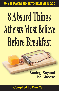**WHY IT MAKES SENSE TO BELIEVE IN GOD** 

# 8 Absurd Things Atheists Must Believe **Before Breakfast**

# **Seeing Beyond The Cheese**

# **Compiled by Don Cain**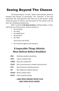# Seeing Beyond The Cheese

The cheese equals "no God," which is perceived as personal freedom (the illusion of autonomy). The "hammer" in the trap *represents the consequences with God out of the picture*. Sadly, under the guise of science, we have gone for the cheese and not seen the resulting consequences.

With "no God" *in the final analysis,* nothing matters. In fact, with God out of the picture, all that remains is:

- No meaning
- No value
- No significance
- No purpose
- No hope

(and some may think)

• No restraints against evil impulses

# **8 Impossible Things Atheists Must Believe Before Breakfast**

- **ONE** Nothing created everything
- **TWO** Chaos created order
- **THREE** Non-Life created life
- **FOUR** Non-Consciousness created consciousness
- **FIVE** Non-Personal created personal
- **SIX** Non-Rational created rational
- **SEVEN** Blind created vision
- **EIGHT** Deaf created hearing

### **…AND WHO KNOWS WHAT ELSE AND HOW MUCH MORE**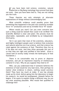I selection or Big Bang cosmology have proved God does f you have been told science, evolution, natural not exist – then you have been lied to. They are not telling you the truth.

Those theories are only attempts at alternate explanations of things without acknowledging God.

What scientific evidence could possibly prove that something that happened in the past was caused by invisible force "A" (evolution) and not by invisible force "B" (God)?

Where would you start? Can you even conceive how such a thing could be tested? How could it be verified? The Scientific Method is clear and plain: the process must be *observable*, *repeatable*, and *verifiable* by an independent third party.

Yet it can seem that most of the scientists, educators, and highly intelligent people want to believe that evolution and natural selection are true science, and that science has ruled against the existence of God. Therefore they live as if He does not exist. And they often persuade the rest of us that they are right and justified in this belief. (Even a casual look at society today reveals the bankruptcy of that foundation.)

There is no conceivable way to prove or disprove evolution, and yet an impressive majority of intellectuals contend it is fact. Why do you suppose they hold to it?

Well, can you understand that if someone believes the existence of God would be very bad news, then perhaps no matter what evidence is shown, nothing would convince them? They have too much at stake. If one has already made up his mind, before going into the laboratory to begin his research, he would be predisposed, (biased) before he begins. If he wants to explain things a different way, he can say most anything plausible. Who would feel qualified to challenge him?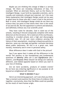Maybe you are thinking this charge of *bias* is a serious charge. Yet there are revealing indications of bias. For example: When an alternate theory, such as the theory of Intelligent Design, is put forth by reputable scientists, and is roundly and resolutely refused and rejected, isn't the most likely explanation that Intelligent Design would not be seen as good news by those who don't want a God in the picture? Bear in mind, anti-Intelligent Design minds do not have any science they can point to that shows their view is the result of (A) and not (B). But the opposition is uniform and absolute, and definitely without any true scientific proof.

They have ruled for decades. God is ruled out of the schools, resulting in fenced compounds complete with metal detectors at the entrances. He is ruled out of the courthouses, resulting in crowded prisons and a high and discouraging recidivism rate. It's all just more evidence proving the failure of their assumptions, resulting in disastrous policies in abortion, same sex marriage and gender confusion decisions about public bathrooms. All this is at a great cost, both morally, monetarily and in even in personal safety.

What difference does it make with God in the picture?

See if you agree that it makes all the difference in the world! The answers to the foundational and fundamental questions of *Identity (Who am I)* and *Significance (Do I matter),* and *Purpose (What should I be doing)* are radically different, and indeed opposite based on where you start in your line of thinking.

Are we mere accidents, products of random events? Do we have any enduring significance or any purpose at all beyond an enlightened self interest?

#### **WHAT IS BEHIND IT ALL?**

Here is an interesting approach. Let's see what you think. Take a moment and examine the three lines of evidence that together, conclusively, show that the Bible could not possibly be the result of mere human origin.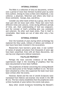The Bible is a collection of sixty-six documents, written over a period of more than thirteen hundred years by some forty authors. Among its many scribes were shepherds, a tax collector, a physician, fishermen and others who lived on three continents – Europe, Asia, and Africa.

Consider any other book written by a group, who for the most part did not know each other. These men were from different times and cultures, wrote during different periods of time, yet, their understanding of God was congruent, and the concept of God's unfolding plan was consistent and coherent. No other such book exists. That in itself is remarkable. Most books are out of date after only a few decades.

#### **EXTERNAL EVIDENCE**

Over the hundreds of years during which archeology has explored the Holy Lands, millions of dollars and millions of man hours have been invested in the excavations.

Researchers have learned a great deal. A vast number of names of people and places from thousands of years ago have been unearthed. Even with all these discoveries, *not one* has ever disproved a biblical statement.

#### **FULFILLED PROPHECY**

Perhaps the most concrete evidence of the Bible's supernatural origin is the recording of prophecy that has been documented to have been fulfilled.

The prophecies of Daniel concerning the coming Messiah and the destruction of the Temple (fulfilled in A.D. 70) have been attacked by critics who suspected the book must have been written after the events.

However, Daniel and the rest of Jewish Scriptures were translated from Hebrew and Aramaic into Greek in the 200 BC era. This fact clearly establishes that the prophecies were written hundreds of years before the events took place.

Many other Jewish Scriptures foretelling the Messiah's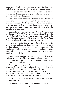birth and first advent are recorded in Isaiah 53, Psalm 22, and other places. You can Google "Messianic prophecies."

This can be demonstrated beyond reasonable doubt. That should dramatically change a secular skeptic's view of the world and everything in it.

Some have questioned the reliability of New Testament documents. They believe that much of the Scripture was not contemporaneous with the events proclaimed in its pages. They say much of the book may have been written later, perhaps a hundred, or even hundreds, of years after the actual events occurred.

Secular history records the destruction of Jerusalem and the Temple in A.D. 70. Yet, there is no mention of this in the New Testament. The Temple was far more significant in the lives of the Jewish people of that day than the World Trade Center was in the lives of most Americans today.

The World Trade Center was so large that it had its own zip code and subway stops. Suppose you found a travel brochure about the Center. It would tell you many facts: the number of people who worked there, the number of visitors on a typical day, and perhaps the number of restaurants and meals served each day.

Now, assume you find no mention of 9/11 or that day's collapse of the towers? Isn't the most likely explanation that the booklet was printed before the events which destroyed the towers ever took place?

The destruction of the Temple fulfilled the prophecy of Jesus. This would have validated His credentials as a prophet. The fact that the New Testament has no mention of it is best understood by concluding that the New Testament accounts were written by eye witnesses before the events of A.D. 70 took place, just as the Bible records.

But what about other religions? Do not "many paths lead to the top of the mountain?"

Of course, that question raises another thought—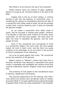Who/What is to be found at the top of the mountain?

Hindus believe there are millions of gods. Buddhists believe in no god at all. Christians believe in the God of the Bible.

Imagine that in the era of silver dollars, a criminal decides to get into the business of counterfeit coins. In considering his options he immediately discards the idea of a counterfeit silver dollar made of wood. No one but perhaps a small child, could be fooled by such. It does not resemble the genuine enough.

So, he makes a counterfeit silver dollar made of metal. And he succeeds in fooling some people. However, if he decides to add some silver content to his basic metal counterfeit, he will fool more people. The more silver he adds, the more it resembles the genuine, and the more people he fools.

Silver in the counterfeit coin corresponds to Truth in a counterfeit religion. The more truth, the more people fooled. All truth is God's truth. And the Devil can quote scripture to his advantage, as we are shown in the account of Christ's temptation in the wilderness.

Let us be on guard against half truths. The counterfeit proves the existence of the genuine.

Modern science is "Western" science and came from a Christian worldview that believed a reasonable God would create a reasonable and intelligible and rational world that could be understood. Eastern religions could never produce that.

The existence of God speaks to the foundational issues of *Identity*, *Significance* and *Purpose*.

The practical applications are life altering. How shall I treat others? Are humans mere accidental results of random processes? What if I can gain significantly by taking advantage of people? What if they are easily exploited? If I am tempted,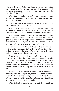why not? If we conclude that these issues have no lasting significance, and if we are cunning enough to get away with it, when temptation allures us, we are left with just the question, **"***Why not?"*

What if others feel this way *about me*? I know that some are stronger and smarter. Who can I trust? Statistics on crime are not encouraging.

So we can begin to see how leaving God out of the picture has rather profound implications.

What does it mean to be *human*? "No God" means we are mere accidents of nature. With that outlook, we are considered no more than a product of random chance events.

We live only a few short months. You must live 83 years and 4 months to attain only 1,000 months of life. A month goes by pretty fast, leaving a limited time to pay the bills, balance the check book, and the like. It's often said that life is 90 percent maintenance and 10 percent living.

Then how shall we live? Without God it is difficult to find an enduring purpose to life. How shall we view others? If they are made in the image of God, we must assign them high value and accord them basic rights.

From where do our rights come? If the government "giveth" rights**,** then the government has every right to take them away. That seems to have been what Hitler and Stalin believed. History records that on the order of one hundred million people were murdered by totalitarianism in the 20<sup>th</sup> century alone…at least partly because of an atheistic world view.

Stalin's and Mao's atheistic communism assumed their citizens possessed no rights beyond what their governments offered. Because their subjects' lives had no lasting, intrinsic value or rights, countless citizens were liquidated as inconvenient enemies of the state.

With God out of the picture, why not? How could you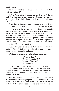call it wrong?

You need some basis to challenge it beyond, "But that's just your opinion!"

In the Declaration of Independence, Thomas Jefferson and other founders of our republic affirmed, "...they [we] are endowed by their Creator with certain unalienable rights."

From time to time, each and every one of us experiences temptation. How do you handle the temptation to do *wron*g?

 With God in the picture, we know that we, ultimately, must give an account for each time we give in to temptation. We will answer for each time we take advantage of another, whether we have lied, stolen or surrendered to other immoral infractions. Any form of exploitation or fraud will be adjudicated by a perfect and divine justice. Knowing there is One to whom we are accountable, provides a decisive basis for saying, *"No!"* to temptation.

But what if God is out of the picture? Isn't this what many believe? Without God, we may take advantage of whatever nefarious opportunity is available.

**We become experts at rationalizing behavior:**

*"It's not so bad." "Everyone is doing it." "No one will know." "It's no big deal."*

Yet when we are the *victims* and not the perpetrators, then it becomes a different picture. This is not how we want others to view the situation when *our* cell phone, iPod, stereo, spouse, children or other treasured possessions or people are in peril.

And yet the question may remain, why not? Most of us are influenced, to varying degrees, by the behaviors of those around us. If others are convinced that God is out of the picture, that no one is keeping score, and if we feel we are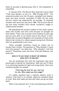likely to succeed in getting away with it, the temptation is intensified.

In January 2015, The Denver Post reported a story titled "Cold Case Murders in the U.S. 1980 through 2014". The unsolved murders over the 35 years, compiled from federal, state and local records, exceeded 211,000. Do the math and our nation has experienced, on average, 16 unsolved murders each and every day since 1980. The account did not say how many murders were solved, murderers caught or undiscovered murders.

We abandoned the ancient wisdom on how God's justice dealt with murder and with crime because we thought we knew better. There was no prison overcrowding 75 years ago and we were safer in our homes and on the street. In fact, statistically our grand daughters are hundreds of times more likely to be victims of a violent assault during their lifetimes than our grandmothers ever were.

These uncaught murderers found no reason *not to* murder their victims. The question of "Why shouldn't I steal from this person?" can slide into, "Why shouldn't I kill this person?" Thankfully, most will never cross that Rubicon, but some will.

#### **WHO IS TO SAY WHAT IS RIGHT OR WRONG? WHO GETS TO DECIDE?**

You are sometimes left with the impression that each person gets to decide for themselves. Well why not? If there is no unmoving standard of right and wrong (God), then each certainly decides for oneself.

#### **"That may be true for you, but not for me. Who made** *you* **the judge?"**

It's widely reported that a majority believe truth is *relative*, that there is no settled, objective standard (God) of truth. Does that make you feel safe when you go out after dark?

What is the solution? Isn't it the overwhelming scientific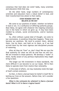consensus that God does not exist? Sadly, many scientists and educators think that way.

On the other hand, large numbers of contemporary scientists and educators have a robust belief in God, and their transformed lives attest to that reality.

#### **EVER WONDER** *WHY* **WE BELIEVE AS WE DO?**

We come to our positions of belief, whether we believe in God or not, in a confluence of differing authority groups. Most likely, we agree with whatever the reigning consensus was in the home in which we grew up. It may have been molded by schools, social environments, and/or business settings.

So, often without a great deal of thought, we come to our conclusions. A wondrous thing then happens. These now become our positions. We tend to protect them, defend them, live by them, and hold on to them, as if we had arrived there by the most rigorous and disciplined process of reasoning.

After all they do "free" us, don't they? We are now the final authority for what we will do and how we will live. We are invested in those patterns. We develop a "stake" in them, hardly aware of any perilous implications they might bring to bear.

The longer our life investment in these standards, the more difficult it can become to cut our losses. We're then likely to operate more from resolve than rationality.

In this state of affairs, we may resolutely resist the logic of God's certain existence.

So then, is there a *factual* basis for belief in God? We're betting our lives on the answers. Before that, let's consider a few questions:

*What is the rationale for atheism? Is there a factual basis? What is it? Is there a logical basis?*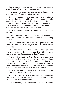I believe you will come up empty on those quests because of the impossibility of proving a negative.

The universe is large. How can you know that nowhere in the vastness of space does God not exist?

Shrink the quest down to size. You might be able to prove that there is not a spider in the room. You could make a careful and meticulous search and cover the entire area. But spiders come in various sizes. And you could not know for sure that one of the little ones did not scoot past while your attention was focused in the other direction.

So, is it rationally defensible to declare that God does not exist?

"Okay," you say, "Even if it is granted that God may, or even probably does exist, why should we believe in a talking snake?"

Isn't it widely accepted by educated people that the Garden of Eden was just a myth, or a fable? Doesn't everyone know that?

Well, not everyone. In fact, there are three powerful lines of reasoning for the open-minded. The evidence weighs heavily toward the factual basis for Eden's existence.

The law of causality, or the relationship of cause and effect, states that outcomes tend to be in a proportional relationship to the causes. For example, a firecracker produces a firecracker-size effect. A hand grenade, a blockbuster bomb, and a thermonuclear device each produce effects proportional to their size, force, and power.

So when we find a universal effect, it would logically follow there is a universal cause.

An undisputed truth is that everybody and everything dies. *Why?* It all goes back to the Garden of Eden and the Snake  $-$  Satan, the enemy of life.

Tens of millions, perhaps hundreds of millions of dollars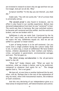are invested in research to learn why we age and how we can live longer. And yet we all die. Why?

Scripture testifies "In the day you eat thereof, you shall die."

Snake said, "You will not surely die." All of us know that is universally untrue.

*The second proof* is also found in Scripture, and its effect is also found in our worldly experience. Before man declared independence from God, he was "centered" in God. The world was then in harmony. But man switched centers; he became self-centered and thus selfish. And the world was broken, and we are broken with it.

Selfishness is why we resist God. Convinced by the lie that "our" way is best, we do not trust God's goodness and we reject His way. Selfishness equals sin. And we are all selfish to a greater or lesser extent.

A part of being human is to be self-centered. Can you name even a single problem facing the culture today that is not, in some way, a result of selfishness? We have broken homes, children abandoned by their mothers and fathers, crime, corruption in government, environmental outrages and wars. The list goes on.

*The third strong corroboration* is the all-pervasive belief in the LIE.

"What lie?" Snake (Satan) said. "What we want for ourselves, what *we* choose is better, and to be preferred, compared to whatever God wants for us." The charge against God is, "He is not good."

We have all, at one time or another believed the lie and, often, still do. Perhaps that is the rest of the explanation of why we resist, often with monumental resolve, the evidence of God's existence.

And this very declaring of our independence gives us a false sense of empowerment, self determination and control.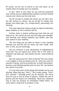Of course, we are not in control in any *real* sense, as we realize when we buckle up in an airplane.

In fact, there is very little we can exercise autonomy over. Unless you are independently wealthy, you have limited choices over where you live and work.

You do not get to choose the family you are born into, nor the century or culture. You do not get to choose your gender, your body type, I.Q., temperament, personality, nor coloring.

The most important choices we get to make are decisions about whether or not to believe the lie.

Further, there is almost nothing you have that you can hang on to. You cannot be sure you will keep your eyesight, your hearing, your mental capacity, your health, your job, your spouse or your mobility.

The one thing you are able to retain is that standing between you and the life for which you were made. *Your will*. In this, you are sovereign.

You can continue in your declaration of independence from God. You can spend your entire life in this state of rebellion and take your last breath and die—*unsurrendered* to God.

But why would you? Isn't that irrational? The only reason I can imagine is that you believe the lie—what you want for yourself is better, and to be preferred, to God's benevolent, gracious, and infinitely perfect plan for your life. You believe you cannot trust God.

It is true that some of the things God forbids can be very alluring. When God says "Don't," He is really saying, "Don't hurt yourself." Although proof can be tenuous, the moral laws are just as real as those of physics. Violate the law of gravity and the results are immediate. Moral law violations may or may not produce an immediate visible effect. An acorn takes a long time to produce a tree.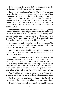It is believing the Snake that has brought us to the hurting place in which the world now exists.

So, what will you believe? Before "Big Bang" cosmology, those who did not want to recognize the existence of God attempted to find comfort in the belief that all matter is eternal. Science tells us that matter cannot be created. It can change its form, say from liquid or solid to gas, but it cannot be created. For matter to exist, there must have been a Creator whose existence transcends the science of known physics.

We inherently know that the universe had a beginning. Science theorizes how it began. Because of the fine-tuning within many forces such as, gravity and velocity, some suggest that instead of just one universe, there are "multiuniverses". The assumption is that with enough universes, fine-tuning is a given rather than evidence of design.

Of course, the multi–verse hypothesis is unprovable. The premise offers nothing to solve the problem of how it could have started on its own, without God.

Anyone with average intelligence, without support from a scientist in a white coat, can see the evidential facts regarding existence.

You may remember a particular scientist who, at the beginning of every TV episode of *Cosmos,* stated assuredly, "The cosmos, all that is, or ever was or ever will be." As far as I know, no one ever asked Carl Sagan, "How do you know that?" The answer is, "He didn't." The statement is an unprovable assertion. There is no possible way to scientifically test it. It is a statement of *faith*. Imagine that!

Yet, it is likely that millions, untrained to test assertions critically, accepted his recurring declaration as gospel truth.

Much of what we can know, without having to rely on the claims of the experts, is as plain as the nose on our face.

It is self evident that existence depicts a very high degree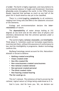of *order*. The Earth is highly organized, and many believe its environmental balance is fragile and threatened. Enormous *diversity* exists throughout the world. In the 1970s *Science Reader* reported that perhaps as much as one half of the plant life in South America was yet to be classified.

There is a mind-boggling *complexity* to all existence, ranging from living cells and DNA to the subatomic structure of the elements.

Ecology and environmentalism declare the *interrelatedness* of nature.

The *dependability* of water always boiling at 212 degrees at sea level and all the other laws of physics and chemistry demonstrate that the universe operates *under a system of laws.*

The world is highly *rational***,** *knowable,* and *intelligible*. Think about it*.* Scientists could not formulate experiments, must less test them, without this assurance of conformance to law. And the intelligibility is progressive. Modern technology confirms this.

Big Bang Cosmology cannot account for this. Naturalism/ Atheism is forced to believe:

- • **Nothing created everything**
- • **Chaos created order**
- • **Non-life created life**
- • **Non-consciousness created consciousness**
- • **Non-rational created rational**
- • **Non-personal created personal**
- • **The blind created vision**
- • **Non-hearing created hearing The list could go on.**

This isn't rational. *The existence of God is proven by the rational, logical nature of things being understood as it is.*

God Is Love. And He loves you. Yet, we declare our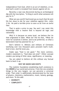independence from God, which is an act of rebellion, or sin. And God's wrath is revealed from heaven against all sin.

Recently a vase was discovered during an archeological dig with the inscription, "A thing is worth what someone will pay for it."

What are you worth? God loved you so much that He sent His Son Jesus to die for your rebellion against Him. (John 3:16) He paid a terrible price to save us all from an awful fate.

That is quite a price to pay. You and I can resist this knowledge with a resolve that is beyond all logic and rationality.

Why? It is because on some level, we believe the Lie that originated in Eden. What lie? The lie that, "What we want for ourselves is better, and to be preferred, to what a benevolent God has planned for us."

Don't believe it. Millions and millions of Christians testifying over two thousand years proclaim God's truth. God is love. And He loves you.

Snake says "God is not good." The more common, modern statement is*,* "God does not exist". Either concept renders you being of little value, significance, or meaning.

You are asked to believe all this without any factual basis to back it up.

#### **WHY WE KNOW GOD EXISTS**

The realistic foundation establishing God's existence is the **ORDER** of our world and universe. From the very smallest things to the very largest, we can perceive a universal order. That order is additionally demonstrated by the laws of physics, chemistry, mathematics, music, botany, geology, and more. To this add:

- • **DIVERSITY**
- • **COMPLEXITY**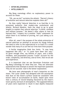- • **INTER-RELATEDNESS**
- • **INTELLIGIBILITY**

Big Bang cosmology offers no explanatory power to account for those.

"Oh, yes we do!" exclaims the atheist. "Darwin's theory of evolution and natural selection explains them all!"

Do they really? Natural Selection is so God-like in its presumed authority that modern-day evolutionist and atheist, Richard Dawkins, feels the need to go to great lengths to explain that natural selection "is blind, mindless and without purpose." He doesn't offer where or how he learned that. I suspect his is another "faith" statement for which there is no method of proving, he's just asking us to believe.

After all, wasn't the purpose of the whole enterprise of natural selection an attempt to account for things without the need to refer to the supernatural or to God? It's a small wonder that many of us can feel our lives have little purpose.

A fertile imagination finds few limits. "It may have happened like this," or "it could have been this way." So given enough time, say billions of years, and a blind, mindless, and purposeless process "could" account for the order, complexity, and diversity, and so forth, that we all see and experience.

It is important that we see Darwinian Evolution and Big Bang Cosmology for what they are. They are alternate explanations that attempt to answer the important questions They do not succeed. God is the better explanation.

We have seen photographs of man's footprints on the moon. The Lunar Lander was designed with the assumption that dust on the moon's surface would be consistent with known rates of accumulation on Earth, based upon more than a century of record keeping (factored by the moon's lower gravity and lack of atmosphere). The supposed billions of years were expected to result in dust depths measured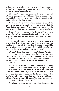in feet, as the Lander's design shows, not the couple of inches the photos reveal—a depth consistent with six to ten thousand years of accumulation.

Of course God could do it any way He chose — through billions of years, or if He could make Adam as an adult male, he could also make mature trees, rocks and galaxies, fully mature with all the signs of age.

Much of what we think we know about the age of the Earth is founded and grounded on the assumption that the "clock in the rock" began it's countdown from zero. Or in the case of space, that velocity has always remained constant.

They believe they can compute the age of the universe by calculating the distances of galaxies from the center, yet in other places they say they cannot know where the center really is.

This is, of course, an unproven and unprovable assumption. There is no way to verify it. In any case, you need *Someone* to get it all started. It begins to sound like a fairy tale for adults. You know, like a rabbit out of a hat, except without a hat and even without a magician.

We don't know how much we don't know. Therefore, when the atheist opposition sets forth extensive and comprehensive narratives across the disciplines of astronomy, botany, biology, chemistry, physics and others, we feel that we are not in a position to adequately address them or to refute them.

Yet we see this colossus astride our modern world ruling the schools and the government, and are tempted to feel there is little we can do about it, as we slide faster and faster into chaos. They say: "We can go into the lab and prove that the rate of decay in this fossil, or this rock is constant. And we can prove that it would take – millions or billions of years to reach this stage. Therefore, we can know the universe is billions of years old."

But what they cannot prove, because there is no scientific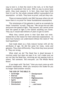way to test it, is that the clock in the rock, or in the fossil began its countdown from zero. With no way to prove base point, they must assume it. In fact, they must have faith that it is so! So, the whole colossal edifice is grounded of an assumption – on faith. They have no proof, and yet they rule.

These erroneous beliefs rule ONLY because others do not know there is no proof for these foundational assumptions.

The remoteness of the galaxies is used as an example by these "scientists" as well. They say: "We can go into our labs and prove the speed of light. They assume, but cannot prove that the speed of light is the fastest anything can travel. They say it would take billions of years to get to earth.

What they cannot prove is that God does not exist. Indeed this is the reason for their alternate explanations – to show how humans can *understand* without the need of "the God hypothesis."

God made Adam as a fully mature human with all the attributes of age. He did the same for trees, rocks and galaxies. They claim differently. They think they have proved it. They are wrong.

What shall we do? The Dead Sea is dead because it receives water but does not pass it on. Let's make sure we are not like the Dead Sea, receiving yet not passing truth to others. Tell someone. Tell everyone. Let The Whole World Know!

If you begin with "No God," then you must come up with another explanation. When you renounce the Snake-lie you no longer need another version.

#### **THE GOD OF THE BIBLE IS:**

- • **Sovereign**
- • **Eternal**
- • **Unchangeable**
- • **Spirit**
- • **Omnipotent**
- • **Omniscient**
- • **Omnipresent**
- • **Holy**
- • **Righteousness**
- • **Justice**
- • **Love**
- • **...and more**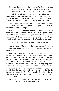Scripture declares that the evidence for God's existence is clearly seen. We resist the evidence in order to serve our own mistaken self-interest. We choose to believe the Snake.

Knowledge really does have power. With what you now know, you can act upon your own best interest. And is it not wonderful that you have the great honor and privilege of testing the message in the laboratory of your own life?

Now you can ask *who* can you trust? Some may dethrone God in their lives, but that doesn't change the fact that He continues to rule and reign.

Your home had a builder. You do not need to know his name to know he exists. The building itself proves that. No building at any time ever just popped into existence uncaused. Yet there are those who want to say that's just what the universe did. Uncaused. One Tuesday afternoon.

#### **CONSIDER THESE PHENOMENAL STATEMENTS:**

**MATTHEW 7:13** "Enter in at the straight gate: for wide is the gate, and broad is the way that leads to destruction, and many go in there."

**2 CORINTHIANS 5:17-21** "Therefore if anyone be in Christ, he is a new creation; old things have passed away; behold all things have become new. And all things are of God who has reconciled us to Himself by Jesus Christ, and has given to us the ministry of reconciliation. To wit God was in Christ, reconciling the world unto Himself, not imputing their trespasses to them, and has committed to us the word of reconciliation. Now then, we are ambassadors for Christ, as though God did beseech you by us: we pray you in Christ's stead, be reconciled to God. For He made Him to be sin for us; Who knew no sin; that we might be made the righteousness of God in Him."

(If you feel an impulse to resist, you do not have to yield to it. You have the power to choose God.)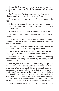Is not this the most wonderful news anyone can ever receive? A brand new life. A fresh start. *Finally*—a true reason for living.

Don't miss out. Ask God to reveal His salvation to you. What do you have to lose? Don't trust the Snake.

Some are troubled by the aspect of mystery found in the Bible.

It has been observed that the four most mysterious words in the Bible are, actually, the first four: IN THE BEGINNING GOD.

With God in the picture miracles are to be expected.

Carl Marx famously said: "Religion is the opiate of the people."

The shooters in schools, after murdering classmates and teachers, often take their own lives supposing they have avoided culpability.

*The real opiate of the people is the inculcating of the belief that after death, there is only nothingness.*

God in the picture makes all the difference in the world. May He grant us conviction of sin and show us our Savior.

Whether you know it or not, there exists an infinitely powerful and good Being, who is holy, righteous and just who loves you and me.

And beyond our ability to comprehend, in spite of knowing every wrong choice we have ever made, He desires to be reconciled to us. Is not this the greatest thought that can occupy the human mind? Invite God to show you that this is true. Then, when asked you can tell others "I believe God Himself proved to me it is true." What do you have to lose? What do you have to gain? Ask. Seek. Find. To reject God is to accept that the final reality is The Survival Of The Fittest. Can we really live in the hopeless despair of that?

Christian belief is not a philosophical argument. Scripture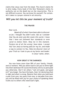claims that Jesus rose from the dead. The church claims He is alive today. Every book of the New Testament claims its authority not on the death but on the resurrection. This is not difficult to prove. You can know for yourself. For certain. All it takes is a prayer uttered in all sincerity.

# *Will you let this be your moment of truth?*

#### **THE PRAYER**

Dear Lord,

*Based off of what I have been able to discover so far, I thought You didn't exist. But as I consider that You do exist and did create this world, I know that I have not followed Your standards or even cared to follow them. Help me in this moment. Forgive me of all the wrong I have done. I accept Your Son Jesus as having paid for my sin, and made a way to connect to You. Help me discover more of your Truth as I look to you as my Savior and leader. In Jesus' name, Amen.*

#### **HOW GREAT IS THE DARKNESS**

You now know more than 99% of your family, friends, and co-workers. Will you allow God to use you to shine light into their darkness? Of course the Enemy will try to persuade you otherwise. Don't let others "call evil good, and good evil" any longer. You have the basis, God, for declaring what is right and what is wrong. Resolve that when you look back a year from now, ten years from now, or decades from now, you will be filled with joy for your choice of speaking these truths out to others who need God's light.